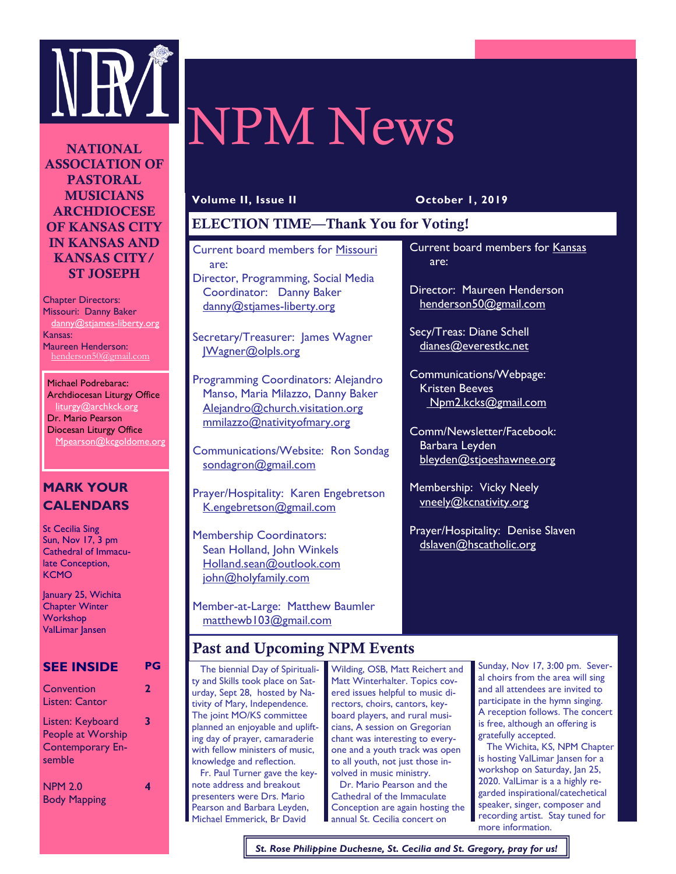

# NPM News

NATIONAL ASSOCIATION OF PASTORAL **MUSICIANS** ARCHDIOCESE OF KANSAS CITY IN KANSAS AND KANSAS CITY/ ST JOSEPH

Chapter Directors: Missouri: Danny Baker danny@stjames-liberty.org Kansas: Maureen Henderson: henderson50@gmail.com

Michael Podrebarac: Archdiocesan Liturgy Office liturgy@archkck.org Dr. Mario Pearson Diocesan Liturgy Office Mpearson@kcgoldome.org

# **MARK YOUR CALENDARS**

St Cecilia Sing Sun, Nov 17, 3 pm Cathedral of Immaculate Conception, **KCMO** 

January 25, Wichita **Chapter Winter Workshop** ValLimar Jansen

## **SEE INSIDE PG**

| Convention<br>Listen: Cantor                                               | 2 |
|----------------------------------------------------------------------------|---|
| Listen: Keyboard<br>People at Worship<br><b>Contemporary En-</b><br>semble | 3 |
| <b>NPM 2.0</b><br><b>Body Mapping</b>                                      |   |

#### **Volume II, Issue II October 1, 2019**

are:

Current board members for Kansas

Director: Maureen Henderson henderson50@gmail.com

Secy/Treas: Diane Schell dianes@everestkc.net

Kristen Beeves

Barbara Leyden

Communications/Webpage:

Npm2.kcks@gmail.com

Comm/Newsletter/Facebook:

bleyden@stjoeshawnee.org

Prayer/Hospitality: Denise Slaven dslaven@hscatholic.org

Membership: Vicky Neely vneely@kcnativity.org

# ELECTION TIME—Thank You for Voting!

Current board members for Missouri are: Director, Programming, Social Media Coordinator: Danny Baker danny@stjames-liberty.org

Secretary/Treasurer: James Wagner JWagner@olpls.org

Programming Coordinators: Alejandro Manso, Maria Milazzo, Danny Baker Alejandro@church.visitation.org mmilazzo@nativityofmary.org

Communications/Website: Ron Sondag sondagron@gmail.com

Prayer/Hospitality: Karen Engebretson K.engebretson@gmail.com

Membership Coordinators: Sean Holland, John Winkels Holland.sean@outlook.com iohn@holyfamily.com

Member-at-Large: Matthew Baumler [matthewb103@gmail.com](mailto:matthewb103@gmail.com)

# Past and Upcoming NPM Events

 The biennial Day of Spirituality and Skills took place on Saturday, Sept 28, hosted by Nativity of Mary, Independence. The joint MO/KS committee planned an enjoyable and uplifting day of prayer, camaraderie with fellow ministers of music, knowledge and reflection. Fr. Paul Turner gave the keynote address and breakout presenters were Drs. Mario .<br>Pearson and Barbara Leyden, Michael Emmerick, Br David

Wilding, OSB, Matt Reichert and Matt Winterhalter. Topics covered issues helpful to music directors, choirs, cantors, keyboard players, and rural musicians, A session on Gregorian chant was interesting to everyone and a youth track was open to all youth, not just those involved in music ministry. Dr. Mario Pearson and the Cathedral of the Immaculate Conception are again hosting the annual St. Cecilia concert on

Sunday, Nov 17, 3:00 pm. Several choirs from the area will sing and all attendees are invited to participate in the hymn singing. A reception follows. The concert is free, although an offering is gratefully accepted.

 The Wichita, KS, NPM Chapter is hosting ValLimar Jansen for a workshop on Saturday, Jan 25, 2020. ValLimar is a a highly regarded inspirational/catechetical speaker, singer, composer and recording artist. Stay tuned for more information.

*St. Rose Philippine Duchesne, St. Cecilia and St. Gregory, pray for us!*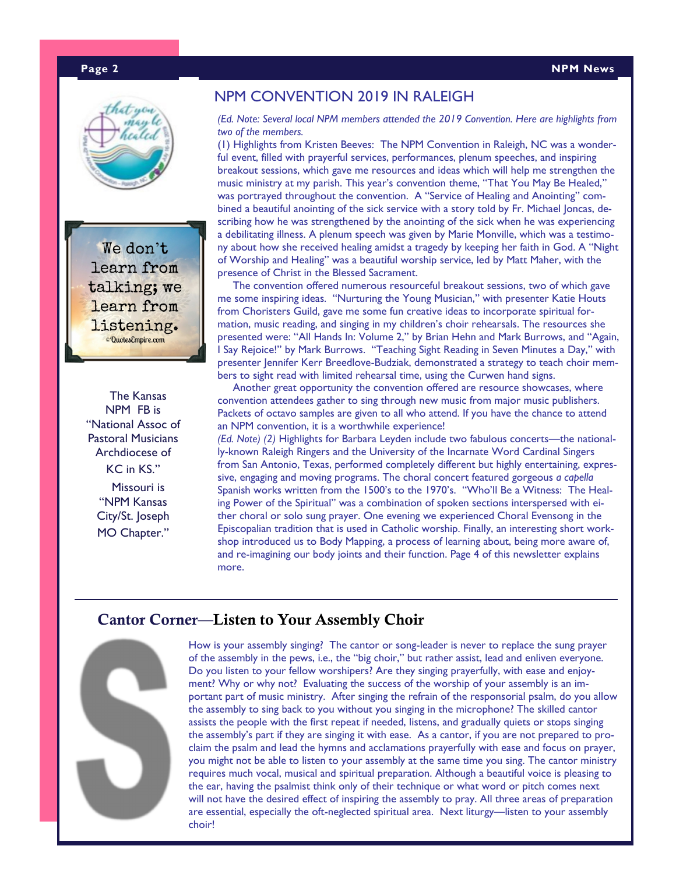#### **Page 2 NPM News**



We don't learn from talking; we learn from listening. **Quotes** Empire.com

 The Kansas NPM FB is "National Assoc of Pastoral Musicians Archdiocese of KC in KS."

> Missouri is "NPM Kansas City/St. Joseph MO Chapter."

### NPM CONVENTION 2019 IN RALEIGH

*(Ed. Note: Several local NPM members attended the 2019 Convention. Here are highlights from two of the members.*

(1) Highlights from Kristen Beeves: The NPM Convention in Raleigh, NC was a wonderful event, filled with prayerful services, performances, plenum speeches, and inspiring breakout sessions, which gave me resources and ideas which will help me strengthen the music ministry at my parish. This year's convention theme, "That You May Be Healed," was portrayed throughout the convention. A "Service of Healing and Anointing" combined a beautiful anointing of the sick service with a story told by Fr. Michael Joncas, describing how he was strengthened by the anointing of the sick when he was experiencing a debilitating illness. A plenum speech was given by Marie Monville, which was a testimony about how she received healing amidst a tragedy by keeping her faith in God. A "Night of Worship and Healing" was a beautiful worship service, led by Matt Maher, with the presence of Christ in the Blessed Sacrament.

 The convention offered numerous resourceful breakout sessions, two of which gave me some inspiring ideas. "Nurturing the Young Musician," with presenter Katie Houts from Choristers Guild, gave me some fun creative ideas to incorporate spiritual formation, music reading, and singing in my children's choir rehearsals. The resources she presented were: "All Hands In: Volume 2," by Brian Hehn and Mark Burrows, and "Again, I Say Rejoice!" by Mark Burrows. "Teaching Sight Reading in Seven Minutes a Day," with presenter Jennifer Kerr Breedlove-Budziak, demonstrated a strategy to teach choir members to sight read with limited rehearsal time, using the Curwen hand signs.

 Another great opportunity the convention offered are resource showcases, where convention attendees gather to sing through new music from major music publishers. Packets of octavo samples are given to all who attend. If you have the chance to attend an NPM convention, it is a worthwhile experience!

*(Ed. Note) (2)* Highlights for Barbara Leyden include two fabulous concerts—the nationally-known Raleigh Ringers and the University of the Incarnate Word Cardinal Singers from San Antonio, Texas, performed completely different but highly entertaining, expressive, engaging and moving programs. The choral concert featured gorgeous *a capella* Spanish works written from the 1500's to the 1970's. "Who'll Be a Witness: The Healing Power of the Spiritual" was a combination of spoken sections interspersed with either choral or solo sung prayer. One evening we experienced Choral Evensong in the Episcopalian tradition that is used in Catholic worship. Finally, an interesting short workshop introduced us to Body Mapping, a process of learning about, being more aware of, and re-imagining our body joints and their function. Page 4 of this newsletter explains more.

# Cantor Corner—Listen to Your Assembly Choir



How is your assembly singing? The cantor or song-leader is never to replace the sung prayer of the assembly in the pews, i.e., the "big choir," but rather assist, lead and enliven everyone. Do you listen to your fellow worshipers? Are they singing prayerfully, with ease and enjoyment? Why or why not? Evaluating the success of the worship of your assembly is an important part of music ministry. After singing the refrain of the responsorial psalm, do you allow the assembly to sing back to you without you singing in the microphone? The skilled cantor assists the people with the first repeat if needed, listens, and gradually quiets or stops singing the assembly's part if they are singing it with ease. As a cantor, if you are not prepared to proclaim the psalm and lead the hymns and acclamations prayerfully with ease and focus on prayer, you might not be able to listen to your assembly at the same time you sing. The cantor ministry requires much vocal, musical and spiritual preparation. Although a beautiful voice is pleasing to the ear, having the psalmist think only of their technique or what word or pitch comes next will not have the desired effect of inspiring the assembly to pray. All three areas of preparation are essential, especially the oft-neglected spiritual area. Next liturgy—listen to your assembly choir!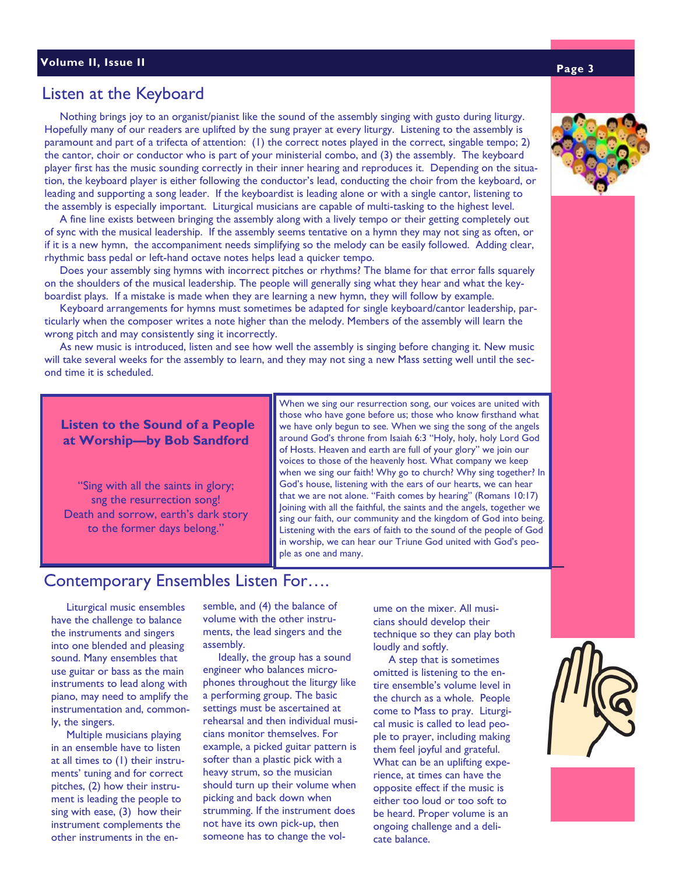# Listen at the Keyboard

 Nothing brings joy to an organist/pianist like the sound of the assembly singing with gusto during liturgy. Hopefully many of our readers are uplifted by the sung prayer at every liturgy. Listening to the assembly is paramount and part of a trifecta of attention: (1) the correct notes played in the correct, singable tempo; 2) the cantor, choir or conductor who is part of your ministerial combo, and (3) the assembly. The keyboard player first has the music sounding correctly in their inner hearing and reproduces it. Depending on the situation, the keyboard player is either following the conductor's lead, conducting the choir from the keyboard, or leading and supporting a song leader. If the keyboardist is leading alone or with a single cantor, listening to the assembly is especially important. Liturgical musicians are capable of multi-tasking to the highest level.

 A fine line exists between bringing the assembly along with a lively tempo or their getting completely out of sync with the musical leadership. If the assembly seems tentative on a hymn they may not sing as often, or if it is a new hymn, the accompaniment needs simplifying so the melody can be easily followed. Adding clear, rhythmic bass pedal or left-hand octave notes helps lead a quicker tempo.

 Does your assembly sing hymns with incorrect pitches or rhythms? The blame for that error falls squarely on the shoulders of the musical leadership. The people will generally sing what they hear and what the keyboardist plays. If a mistake is made when they are learning a new hymn, they will follow by example.

 Keyboard arrangements for hymns must sometimes be adapted for single keyboard/cantor leadership, particularly when the composer writes a note higher than the melody. Members of the assembly will learn the wrong pitch and may consistently sing it incorrectly.

 As new music is introduced, listen and see how well the assembly is singing before changing it. New music will take several weeks for the assembly to learn, and they may not sing a new Mass setting well until the second time it is scheduled.

## **Listen to the Sound of a People at Worship—by Bob Sandford**

"Sing with all the saints in glory; sng the resurrection song! Death and sorrow, earth's dark story to the former days belong."

When we sing our resurrection song, our voices are united with those who have gone before us; those who know firsthand what we have only begun to see. When we sing the song of the angels around God's throne from Isaiah 6:3 "Holy, holy, holy Lord God of Hosts. Heaven and earth are full of your glory" we join our voices to those of the heavenly host. What company we keep when we sing our faith! Why go to church? Why sing together? In God's house, listening with the ears of our hearts, we can hear that we are not alone. "Faith comes by hearing" (Romans 10:17) Joining with all the faithful, the saints and the angels, together we sing our faith, our community and the kingdom of God into being. Listening with the ears of faith to the sound of the people of God in worship, we can hear our Triune God united with God's people as one and many.

# Contemporary Ensembles Listen For….

 Liturgical music ensembles have the challenge to balance the instruments and singers into one blended and pleasing sound. Many ensembles that use guitar or bass as the main instruments to lead along with piano, may need to amplify the instrumentation and, commonly, the singers.

 Multiple musicians playing in an ensemble have to listen at all times to (1) their instruments' tuning and for correct pitches, (2) how their instrument is leading the people to sing with ease, (3) how their instrument complements the other instruments in the ensemble, and (4) the balance of volume with the other instruments, the lead singers and the assembly.

 Ideally, the group has a sound engineer who balances microphones throughout the liturgy like a performing group. The basic settings must be ascertained at rehearsal and then individual musicians monitor themselves. For example, a picked guitar pattern is softer than a plastic pick with a heavy strum, so the musician should turn up their volume when picking and back down when strumming. If the instrument does not have its own pick-up, then someone has to change the vol-

ume on the mixer. All musicians should develop their technique so they can play both loudly and softly.

 A step that is sometimes omitted is listening to the entire ensemble's volume level in the church as a whole. People come to Mass to pray. Liturgical music is called to lead people to prayer, including making them feel joyful and grateful. What can be an uplifting experience, at times can have the opposite effect if the music is either too loud or too soft to be heard. Proper volume is an ongoing challenge and a delicate balance.